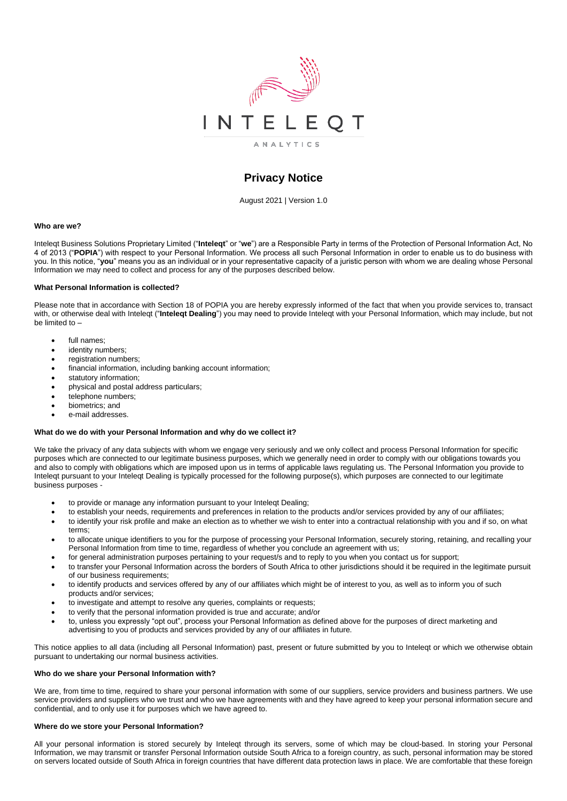

# **Privacy Notice**

August 2021 | Version 1.0

### **Who are we?**

Inteleqt Business Solutions Proprietary Limited ("**Inteleqt**" or "**we**") are a Responsible Party in terms of the Protection of Personal Information Act, No 4 of 2013 ("**POPIA**") with respect to your Personal Information. We process all such Personal Information in order to enable us to do business with you. In this notice, "**you**" means you as an individual or in your representative capacity of a juristic person with whom we are dealing whose Personal Information we may need to collect and process for any of the purposes described below.

### **What Personal Information is collected?**

Please note that in accordance with Section 18 of POPIA you are hereby expressly informed of the fact that when you provide services to, transact with, or otherwise deal with Inteleqt ("**Inteleqt Dealing**") you may need to provide Inteleqt with your Personal Information, which may include, but not be limited to –

- full names;
- identity numbers:
- registration numbers:
- financial information, including banking account information;
- statutory information:
- physical and postal address particulars;
- telephone numbers;
- biometrics: and
- e-mail addresses.

## **What do we do with your Personal Information and why do we collect it?**

We take the privacy of any data subjects with whom we engage very seriously and we only collect and process Personal Information for specific purposes which are connected to our legitimate business purposes, which we generally need in order to comply with our obligations towards you and also to comply with obligations which are imposed upon us in terms of applicable laws regulating us. The Personal Information you provide to Inteleqt pursuant to your Inteleqt Dealing is typically processed for the following purpose(s), which purposes are connected to our legitimate business purposes -

- to provide or manage any information pursuant to your Inteleqt Dealing;
- to establish your needs, requirements and preferences in relation to the products and/or services provided by any of our affiliates;
- to identify your risk profile and make an election as to whether we wish to enter into a contractual relationship with you and if so, on what terms;
- to allocate unique identifiers to you for the purpose of processing your Personal Information, securely storing, retaining, and recalling your Personal Information from time to time, regardless of whether you conclude an agreement with us;
- for general administration purposes pertaining to your request/s and to reply to you when you contact us for support;
- to transfer your Personal Information across the borders of South Africa to other jurisdictions should it be required in the legitimate pursuit of our business requirements;
- to identify products and services offered by any of our affiliates which might be of interest to you, as well as to inform you of such products and/or services;
- to investigate and attempt to resolve any queries, complaints or requests;
- to verify that the personal information provided is true and accurate; and/or
- to, unless you expressly "opt out", process your Personal Information as defined above for the purposes of direct marketing and advertising to you of products and services provided by any of our affiliates in future.

This notice applies to all data (including all Personal Information) past, present or future submitted by you to Inteleqt or which we otherwise obtain pursuant to undertaking our normal business activities.

## **Who do we share your Personal Information with?**

We are, from time to time, required to share your personal information with some of our suppliers, service providers and business partners. We use service providers and suppliers who we trust and who we have agreements with and they have agreed to keep your personal information secure and confidential, and to only use it for purposes which we have agreed to.

### **Where do we store your Personal Information?**

All your personal information is stored securely by Inteleqt through its servers, some of which may be cloud-based. In storing your Personal Information, we may transmit or transfer Personal Information outside South Africa to a foreign country, as such, personal information may be stored on servers located outside of South Africa in foreign countries that have different data protection laws in place. We are comfortable that these foreign